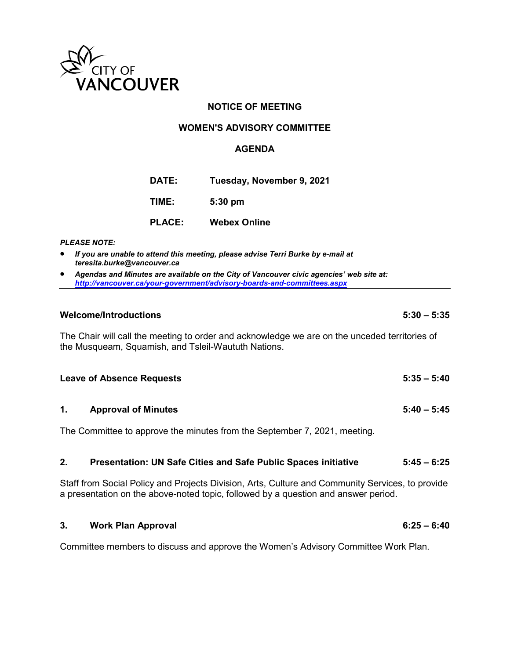

### **NOTICE OF MEETING**

#### **WOMEN'S ADVISORY COMMITTEE**

#### **AGENDA**

**DATE: Tuesday, November 9, 2021**

**TIME: 5:30 pm**

| <b>PLACE:</b> | <b>Webex Online</b> |  |
|---------------|---------------------|--|
|               |                     |  |

#### *PLEASE NOTE:*

- *If you are unable to attend this meeting, please advise Terri Burke by e-mail at teresita.burke@vancouver.ca*
- *Agendas and Minutes are available on the City of Vancouver civic agencies' web site at: <http://vancouver.ca/your-government/advisory-boards-and-committees.aspx>*

#### **Welcome/Introductions 5:30 – 5:35**

The Chair will call the meeting to order and acknowledge we are on the unceded territories of the Musqueam, Squamish, and Tsleil-Waututh Nations.

| <b>Leave of Absence Requests</b> | $5:35 - 5:40$ |  |
|----------------------------------|---------------|--|
|                                  |               |  |

#### **1. Approval of Minutes 5:40 – 5:45**

The Committee to approve the minutes from the September 7, 2021, meeting.

#### **2. Presentation: UN Safe Cities and Safe Public Spaces initiative 5:45 – 6:25**

Staff from Social Policy and Projects Division, Arts, Culture and Community Services, to provide a presentation on the above-noted topic, followed by a question and answer period.

#### **3. Work Plan Approval 6:25 – 6:40**

Committee members to discuss and approve the Women's Advisory Committee Work Plan.